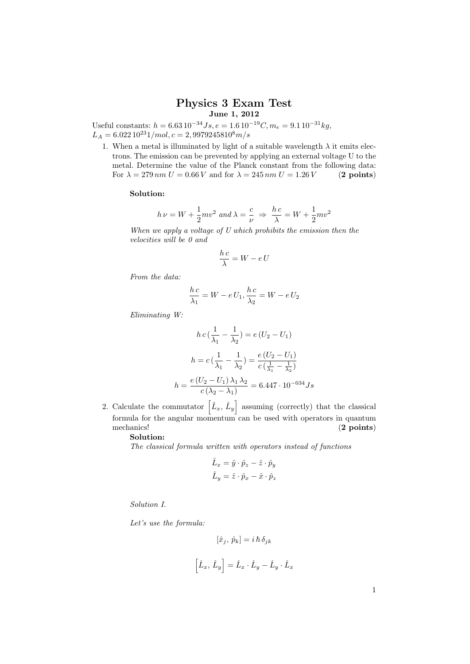## Physics 3 Exam Test June 1, 2012

Useful constants:  $h = 6.63 \cdot 10^{-34} Js$ ,  $e = 1.6 \cdot 10^{-19} C$ ,  $m_e = 9.1 \cdot 10^{-31} kg$ ,  $L_A = 6.022 10^{23} 1/mol, c = 2,99792 458 10^8 m/s$ 

1. When a metal is illuminated by light of a suitable wavelength  $\lambda$  it emits electrons. The emission can be prevented by applying an external voltage U to the metal. Determine the value of the Planck constant from the following data: For  $\lambda = 279 \, \text{nm} \, U = 0.66 \, V$  and for  $\lambda = 245 \, \text{nm} \, U = 1.26 \, V$  (2 points)

## Solution:

$$
h\,\nu=W+\frac{1}{2}mv^2\,\,and\,\lambda=\frac{c}{\nu}\,\,\Rightarrow\,\,\frac{h\,c}{\lambda}=W+\frac{1}{2}mv^2
$$

When we apply a voltage of U which prohibits the emission then the velocities will be 0 and

$$
\frac{h\,c}{\lambda} = W - e\,U
$$

From the data:

$$
\frac{h c}{\lambda_1} = W - e U_1, \frac{h c}{\lambda_2} = W - e U_2
$$

Eliminating W:

$$
hc\left(\frac{1}{\lambda_1} - \frac{1}{\lambda_2}\right) = e\left(U_2 - U_1\right)
$$

$$
h = c\left(\frac{1}{\lambda_1} - \frac{1}{\lambda_2}\right) = \frac{e\left(U_2 - U_1\right)}{c\left(\frac{1}{\lambda_1} - \frac{1}{\lambda_2}\right)}
$$

$$
h = \frac{e\left(U_2 - U_1\right)\lambda_1\lambda_2}{c\left(\lambda_2 - \lambda_1\right)} = 6.447 \cdot 10^{-034} Js
$$

2. Calculate the commutator  $\left[\hat{L}_x, \hat{L}_y\right]$  assuming (correctly) that the classical formula for the angular momentum can be used with operators in quantum mechanics! (2 points) Solution:

The classical formula written with operators instead of functions

$$
\hat{L}_x = \hat{y} \cdot \hat{p}_z - \hat{z} \cdot \hat{p}_y
$$

$$
\hat{L}_y = \hat{z} \cdot \hat{p}_x - \hat{x} \cdot \hat{p}_z
$$

Solution I.

Let's use the formula:

$$
\left[\hat{x}_j,\,\hat{p}_k\right]=i\,\hbar\,\delta_{jk}
$$
 
$$
\left[\hat{L}_x,\,\hat{L}_y\right]=\hat{L}_x\cdot\hat{L}_y-\hat{L}_y\cdot\hat{L}_x
$$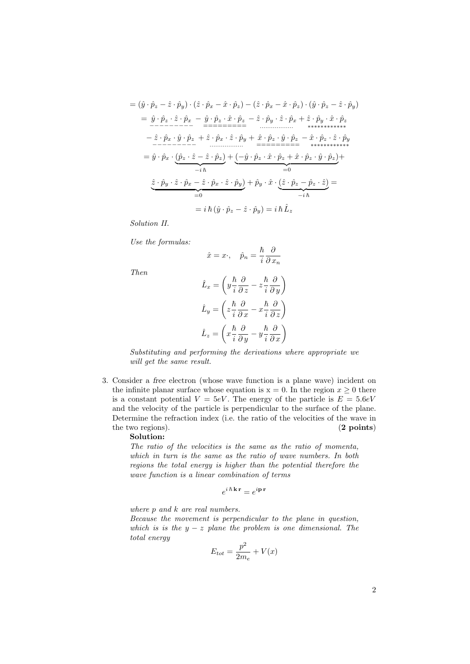$$
= (\hat{y} \cdot \hat{p}_z - \hat{z} \cdot \hat{p}_y) \cdot (\hat{z} \cdot \hat{p}_x - \hat{x} \cdot \hat{p}_z) - (\hat{z} \cdot \hat{p}_x - \hat{x} \cdot \hat{p}_z) \cdot (\hat{y} \cdot \hat{p}_z - \hat{z} \cdot \hat{p}_y)
$$
\n
$$
= \hat{y} \cdot \hat{p}_z \cdot \hat{z} \cdot \hat{p}_x - \hat{y} \cdot \hat{p}_z \cdot \hat{x} \cdot \hat{p}_z - \hat{z} \cdot \hat{p}_y \cdot \hat{z} \cdot \hat{p}_x + \hat{z} \cdot \hat{p}_y \cdot \hat{x} \cdot \hat{p}_z
$$
\n
$$
- \hat{z} \cdot \hat{p}_x \cdot \hat{y} \cdot \hat{p}_z + \hat{z} \cdot \hat{p}_x \cdot \hat{z} \cdot \hat{p}_y + \hat{x} \cdot \hat{p}_z \cdot \hat{y} \cdot \hat{p}_z - \hat{x} \cdot \hat{p}_z \cdot \hat{z} \cdot \hat{p}_y
$$
\n
$$
= \hat{y} \cdot \hat{p}_x \cdot (\hat{p}_z \cdot \hat{z} - \hat{z} \cdot \hat{p}_z) + (-\hat{y} \cdot \hat{p}_z \cdot \hat{x} \cdot \hat{p}_z + \hat{x} \cdot \hat{p}_z \cdot \hat{y} \cdot \hat{p}_z) + (-\hat{y} \cdot \hat{p}_z \cdot \hat{x} \cdot \hat{p}_z + \hat{x} \cdot \hat{p}_z \cdot \hat{y} \cdot \hat{p}_z) + (-\hat{y} \cdot \hat{p}_z \cdot \hat{x} \cdot \hat{p}_z + \hat{x} \cdot \hat{p}_z \cdot \hat{y} \cdot \hat{p}_z) + (-\hat{y} \cdot \hat{p}_z \cdot \hat{x} \cdot \hat{p}_z) + (-\hat{y} \cdot \hat{p}_z \cdot \hat{z} \cdot \hat{p}_z) + \hat{p}_y \cdot \hat{z} \cdot (\hat{z} \cdot \hat{p}_z - \hat{p}_z \cdot \hat{z}) =
$$
\n
$$
= 0
$$
\n
$$
\hat{z} \cdot \hat{p}_y \cdot \hat{z} \cdot \hat{p}_x - \hat{z} \cdot \hat{p}_
$$

Solution II.

Use the formulas:

$$
\hat{x} = x \cdot, \quad \hat{p}_n = \frac{\hbar}{i} \frac{\partial}{\partial x_n}
$$

Then

$$
\hat{L}_x = \left( y \frac{\hbar}{i} \frac{\partial}{\partial z} - z \frac{\hbar}{i} \frac{\partial}{\partial y} \right)
$$

$$
\hat{L}_y = \left( z \frac{\hbar}{i} \frac{\partial}{\partial x} - x \frac{\hbar}{i} \frac{\partial}{\partial z} \right)
$$

$$
\hat{L}_z = \left( x \frac{\hbar}{i} \frac{\partial}{\partial y} - y \frac{\hbar}{i} \frac{\partial}{\partial x} \right)
$$

Substituting and performing the derivations where appropriate we will get the same result.

3. Consider a free electron (whose wave function is a plane wave) incident on the infinite planar surface whose equation is  $x = 0$ . In the region  $x \ge 0$  there is a constant potential  $V = 5eV$ . The energy of the particle is  $E = 5.6eV$ and the velocity of the particle is perpendicular to the surface of the plane. Determine the refraction index (i.e. the ratio of the velocities of the wave in the two regions). (2 points)

## Solution:

The ratio of the velocities is the same as the ratio of momenta, which in turn is the same as the ratio of wave numbers. In both regions the total energy is higher than the potential therefore the wave function is a linear combination of terms

$$
e^{i\,\hbar\,\mathbf{k}\,\mathbf{r}}=e^{i\mathbf{p}\,\mathbf{r}}
$$

where  $p$  and  $k$  are real numbers.

Because the movement is perpendicular to the plane in question, which is is the  $y - z$  plane the problem is one dimensional. The total energy

$$
E_{tot} = \frac{p^2}{2m_e} + V(x)
$$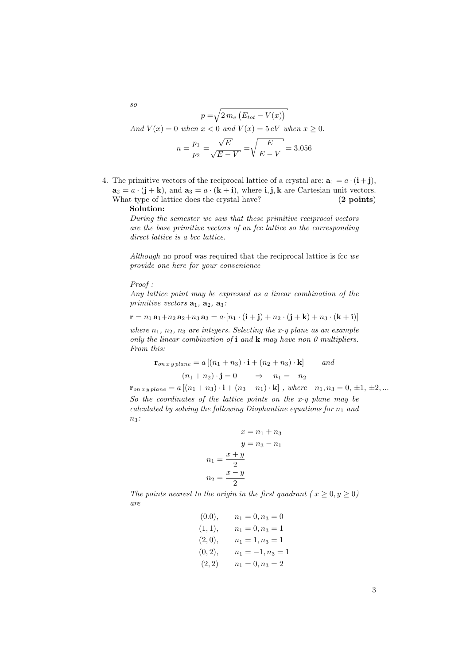$$
p = \sqrt{2 m_e (E_{tot} - V(x))}
$$
  
And  $V(x) = 0$  when  $x < 0$  and  $V(x) = 5 eV$  when  $x \ge 0$ .  

$$
n = \frac{p_1}{p_2} = \frac{\sqrt{E}}{\sqrt{E - V}} = \sqrt{\frac{E}{E - V}} = 3.056
$$

4. The primitive vectors of the reciprocal lattice of a crystal are:  $\mathbf{a}_1 = a \cdot (\mathbf{i} + \mathbf{j}),$  $a_2 = a \cdot (j + k)$ , and  $a_3 = a \cdot (k + i)$ , where i, j, k are Cartesian unit vectors. What type of lattice does the crystal have? (2 points)

## Solution:

During the semester we saw that these primitive reciprocal vectors are the base primitive vectors of an fcc lattice so the corresponding direct lattice is a bcc lattice.

Although no proof was required that the reciprocal lattice is fcc  $we$ provide one here for your convenience

Proof :

Any lattice point may be expressed as a linear combination of the primitive vectors  $\mathbf{a}_1$ ,  $\mathbf{a}_2$ ,  $\mathbf{a}_3$ :

$$
\mathbf{r} = n_1 \mathbf{a}_1 + n_2 \mathbf{a}_2 + n_3 \mathbf{a}_3 = a \cdot [n_1 \cdot (\mathbf{i} + \mathbf{j}) + n_2 \cdot (\mathbf{j} + \mathbf{k}) + n_3 \cdot (\mathbf{k} + \mathbf{i})]
$$

where  $n_1$ ,  $n_2$ ,  $n_3$  are integers. Selecting the x-y plane as an example only the linear combination of  $\mathbf i$  and  $\mathbf k$  may have non 0 multipliers. From this:

$$
\mathbf{r}_{on\ xy\ plane} = a [(n_1 + n_3) \cdot \mathbf{i} + (n_2 + n_3) \cdot \mathbf{k}] \qquad and
$$

$$
(n_1 + n_2) \cdot \mathbf{j} = 0 \qquad \Rightarrow \qquad n_1 = -n_2
$$

 $\mathbf{r}_{on\,xy\,plane} = a [(n_1+n_3)\cdot\mathbf{i} + (n_3-n_1)\cdot\mathbf{k}]$ , where  $n_1, n_3 = 0, \pm 1, \pm 2, ...$ So the coordinates of the lattice points on the x-y plane may be calculated by solving the following Diophantine equations for  $n_1$  and  $n_3$ :

$$
x = n1 + n3
$$

$$
y = n3 - n1
$$

$$
n1 = \frac{x + y}{2}
$$

$$
n2 = \frac{x - y}{2}
$$

The points nearest to the origin in the first quadrant ( $x \geq 0, y \geq 0$ ) are

> $(0.0), \quad n_1 = 0, n_3 = 0$  $(1, 1), \quad n_1 = 0, n_3 = 1$  $(2, 0), \quad n_1 = 1, n_3 = 1$  $(0, 2), \quad n_1 = -1, n_3 = 1$  $(2, 2)$   $n_1 = 0, n_3 = 2$

so